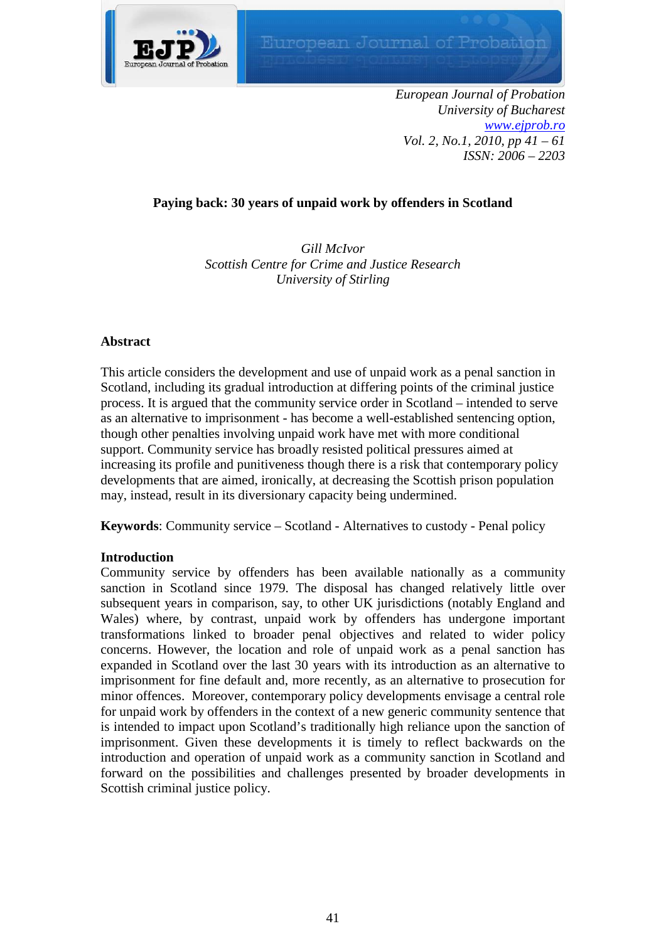

*European Journal of Probation University of Bucharest [www.ejprob.ro](http://www.ejprob.ro/) Vol. 2, No.1, 2010, pp 41 – 61 ISSN: 2006 – 2203*

# **Paying back: 30 years of unpaid work by offenders in Scotland**

*Gill McIvor Scottish Centre for Crime and Justice Research University of Stirling*

## **Abstract**

This article considers the development and use of unpaid work as a penal sanction in Scotland, including its gradual introduction at differing points of the criminal justice process. It is argued that the community service order in Scotland – intended to serve as an alternative to imprisonment - has become a well-established sentencing option, though other penalties involving unpaid work have met with more conditional support. Community service has broadly resisted political pressures aimed at increasing its profile and punitiveness though there is a risk that contemporary policy developments that are aimed, ironically, at decreasing the Scottish prison population may, instead, result in its diversionary capacity being undermined.

**Keywords**: Community service – Scotland - Alternatives to custody - Penal policy

## **Introduction**

Community service by offenders has been available nationally as a community sanction in Scotland since 1979. The disposal has changed relatively little over subsequent years in comparison, say, to other UK jurisdictions (notably England and Wales) where, by contrast, unpaid work by offenders has undergone important transformations linked to broader penal objectives and related to wider policy concerns. However, the location and role of unpaid work as a penal sanction has expanded in Scotland over the last 30 years with its introduction as an alternative to imprisonment for fine default and, more recently, as an alternative to prosecution for minor offences. Moreover, contemporary policy developments envisage a central role for unpaid work by offenders in the context of a new generic community sentence that is intended to impact upon Scotland's traditionally high reliance upon the sanction of imprisonment. Given these developments it is timely to reflect backwards on the introduction and operation of unpaid work as a community sanction in Scotland and forward on the possibilities and challenges presented by broader developments in Scottish criminal justice policy.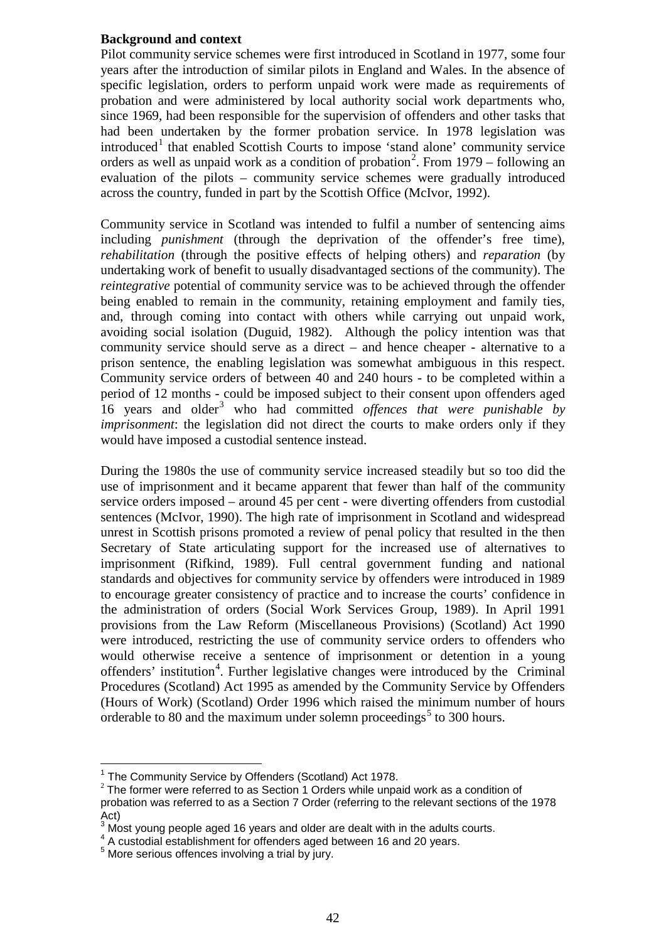## **Background and context**

Pilot community service schemes were first introduced in Scotland in 1977, some four years after the introduction of similar pilots in England and Wales. In the absence of specific legislation, orders to perform unpaid work were made as requirements of probation and were administered by local authority social work departments who, since 1969, had been responsible for the supervision of offenders and other tasks that had been undertaken by the former probation service. In 1978 legislation was  $introduced<sup>1</sup>$  $introduced<sup>1</sup>$  $introduced<sup>1</sup>$  that enabled Scottish Courts to impose 'stand alone' community service orders as well as unpaid work as a condition of probation<sup>[2](#page-1-1)</sup>. From  $1979 -$  following an evaluation of the pilots – community service schemes were gradually introduced across the country, funded in part by the Scottish Office (McIvor, 1992).

Community service in Scotland was intended to fulfil a number of sentencing aims including *punishment* (through the deprivation of the offender's free time), *rehabilitation* (through the positive effects of helping others) and *reparation* (by undertaking work of benefit to usually disadvantaged sections of the community). The *reintegrative* potential of community service was to be achieved through the offender being enabled to remain in the community, retaining employment and family ties, and, through coming into contact with others while carrying out unpaid work, avoiding social isolation (Duguid, 1982). Although the policy intention was that community service should serve as a direct – and hence cheaper - alternative to a prison sentence, the enabling legislation was somewhat ambiguous in this respect. Community service orders of between 40 and 240 hours - to be completed within a period of 12 months - could be imposed subject to their consent upon offenders aged 16 years and older[3](#page-1-2) who had committed *offences that were punishable by imprisonment*: the legislation did not direct the courts to make orders only if they would have imposed a custodial sentence instead.

During the 1980s the use of community service increased steadily but so too did the use of imprisonment and it became apparent that fewer than half of the community service orders imposed – around 45 per cent - were diverting offenders from custodial sentences (McIvor, 1990). The high rate of imprisonment in Scotland and widespread unrest in Scottish prisons promoted a review of penal policy that resulted in the then Secretary of State articulating support for the increased use of alternatives to imprisonment (Rifkind, 1989). Full central government funding and national standards and objectives for community service by offenders were introduced in 1989 to encourage greater consistency of practice and to increase the courts' confidence in the administration of orders (Social Work Services Group, 1989). In April 1991 provisions from the Law Reform (Miscellaneous Provisions) (Scotland) Act 1990 were introduced, restricting the use of community service orders to offenders who would otherwise receive a sentence of imprisonment or detention in a young offenders' institution<sup>[4](#page-1-3)</sup>. Further legislative changes were introduced by the Criminal Procedures (Scotland) Act 1995 as amended by the Community Service by Offenders (Hours of Work) (Scotland) Order 1996 which raised the minimum number of hours orderable to 80 and the maximum under solemn proceedings<sup>[5](#page-1-4)</sup> to 300 hours.

<span id="page-1-0"></span> $1$  The Community Service by Offenders (Scotland) Act 1978.

<span id="page-1-1"></span> $2$  The former were referred to as Section 1 Orders while unpaid work as a condition of probation was referred to as a Section 7 Order (referring to the relevant sections of the 1978 Act)

 $3$  Most young people aged 16 years and older are dealt with in the adults courts.

<span id="page-1-3"></span><span id="page-1-2"></span><sup>4</sup> Nicot young poople ages is yearn and care alleged between 16 and 20 years.<br>
<sup>5</sup> More serious offences involving a trial by jury.

<span id="page-1-4"></span>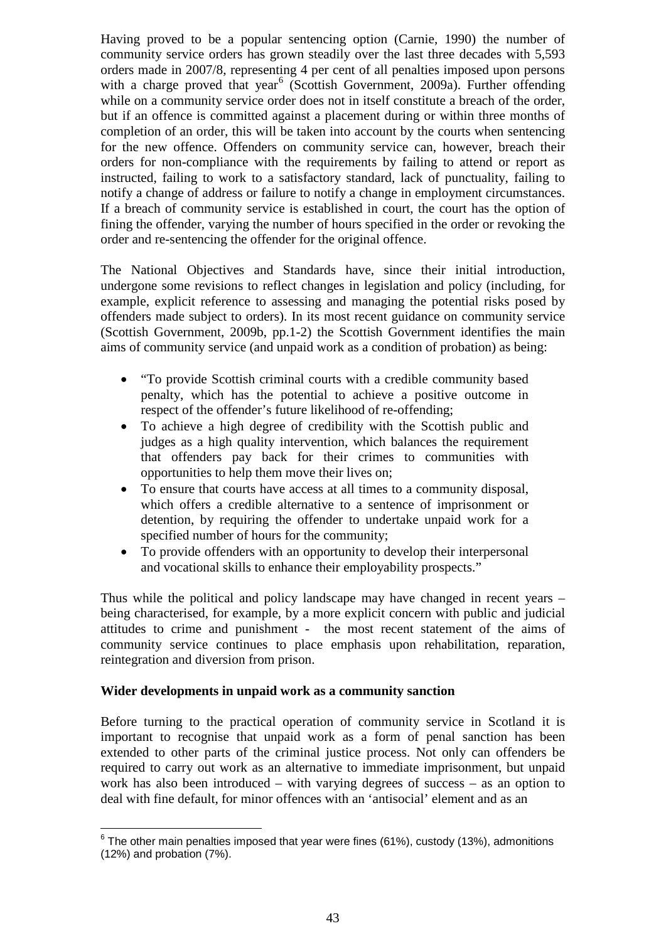Having proved to be a popular sentencing option (Carnie, 1990) the number of community service orders has grown steadily over the last three decades with 5,593 orders made in 2007/8, representing 4 per cent of all penalties imposed upon persons with a charge proved that year<sup>[6](#page-2-0)</sup> (Scottish Government, 2009a). Further offending while on a community service order does not in itself constitute a breach of the order, but if an offence is committed against a placement during or within three months of completion of an order, this will be taken into account by the courts when sentencing for the new offence. Offenders on community service can, however, breach their orders for non-compliance with the requirements by failing to attend or report as instructed, failing to work to a satisfactory standard, lack of punctuality, failing to notify a change of address or failure to notify a change in employment circumstances. If a breach of community service is established in court, the court has the option of fining the offender, varying the number of hours specified in the order or revoking the order and re-sentencing the offender for the original offence.

The National Objectives and Standards have, since their initial introduction, undergone some revisions to reflect changes in legislation and policy (including, for example, explicit reference to assessing and managing the potential risks posed by offenders made subject to orders). In its most recent guidance on community service (Scottish Government, 2009b, pp.1-2) the Scottish Government identifies the main aims of community service (and unpaid work as a condition of probation) as being:

- "To provide Scottish criminal courts with a credible community based penalty, which has the potential to achieve a positive outcome in respect of the offender's future likelihood of re-offending;
- To achieve a high degree of credibility with the Scottish public and judges as a high quality intervention, which balances the requirement that offenders pay back for their crimes to communities with opportunities to help them move their lives on;
- To ensure that courts have access at all times to a community disposal, which offers a credible alternative to a sentence of imprisonment or detention, by requiring the offender to undertake unpaid work for a specified number of hours for the community;
- To provide offenders with an opportunity to develop their interpersonal and vocational skills to enhance their employability prospects."

Thus while the political and policy landscape may have changed in recent years – being characterised, for example, by a more explicit concern with public and judicial attitudes to crime and punishment - the most recent statement of the aims of community service continues to place emphasis upon rehabilitation, reparation, reintegration and diversion from prison.

## **Wider developments in unpaid work as a community sanction**

Before turning to the practical operation of community service in Scotland it is important to recognise that unpaid work as a form of penal sanction has been extended to other parts of the criminal justice process. Not only can offenders be required to carry out work as an alternative to immediate imprisonment, but unpaid work has also been introduced – with varying degrees of success – as an option to deal with fine default, for minor offences with an 'antisocial' element and as an

<span id="page-2-0"></span> $6$  The other main penalties imposed that year were fines (61%), custody (13%), admonitions (12%) and probation (7%).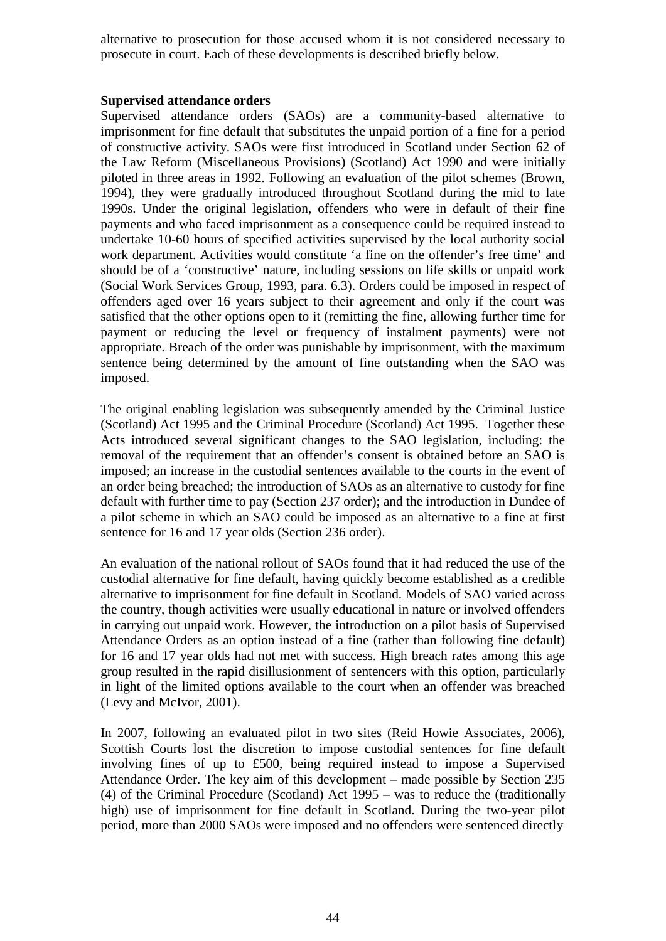alternative to prosecution for those accused whom it is not considered necessary to prosecute in court. Each of these developments is described briefly below.

#### **Supervised attendance orders**

Supervised attendance orders (SAOs) are a community-based alternative to imprisonment for fine default that substitutes the unpaid portion of a fine for a period of constructive activity. SAOs were first introduced in Scotland under Section 62 of the Law Reform (Miscellaneous Provisions) (Scotland) Act 1990 and were initially piloted in three areas in 1992. Following an evaluation of the pilot schemes (Brown, 1994), they were gradually introduced throughout Scotland during the mid to late 1990s. Under the original legislation, offenders who were in default of their fine payments and who faced imprisonment as a consequence could be required instead to undertake 10-60 hours of specified activities supervised by the local authority social work department. Activities would constitute 'a fine on the offender's free time' and should be of a 'constructive' nature, including sessions on life skills or unpaid work (Social Work Services Group, 1993, para. 6.3). Orders could be imposed in respect of offenders aged over 16 years subject to their agreement and only if the court was satisfied that the other options open to it (remitting the fine, allowing further time for payment or reducing the level or frequency of instalment payments) were not appropriate. Breach of the order was punishable by imprisonment, with the maximum sentence being determined by the amount of fine outstanding when the SAO was imposed.

The original enabling legislation was subsequently amended by the Criminal Justice (Scotland) Act 1995 and the Criminal Procedure (Scotland) Act 1995. Together these Acts introduced several significant changes to the SAO legislation, including: the removal of the requirement that an offender's consent is obtained before an SAO is imposed; an increase in the custodial sentences available to the courts in the event of an order being breached; the introduction of SAOs as an alternative to custody for fine default with further time to pay (Section 237 order); and the introduction in Dundee of a pilot scheme in which an SAO could be imposed as an alternative to a fine at first sentence for 16 and 17 year olds (Section 236 order).

An evaluation of the national rollout of SAOs found that it had reduced the use of the custodial alternative for fine default, having quickly become established as a credible alternative to imprisonment for fine default in Scotland. Models of SAO varied across the country, though activities were usually educational in nature or involved offenders in carrying out unpaid work. However, the introduction on a pilot basis of Supervised Attendance Orders as an option instead of a fine (rather than following fine default) for 16 and 17 year olds had not met with success. High breach rates among this age group resulted in the rapid disillusionment of sentencers with this option, particularly in light of the limited options available to the court when an offender was breached (Levy and McIvor, 2001).

In 2007, following an evaluated pilot in two sites (Reid Howie Associates, 2006), Scottish Courts lost the discretion to impose custodial sentences for fine default involving fines of up to £500, being required instead to impose a Supervised Attendance Order. The key aim of this development – made possible by Section 235 (4) of the Criminal Procedure (Scotland) Act 1995 – was to reduce the (traditionally high) use of imprisonment for fine default in Scotland. During the two-year pilot period, more than 2000 SAOs were imposed and no offenders were sentenced directly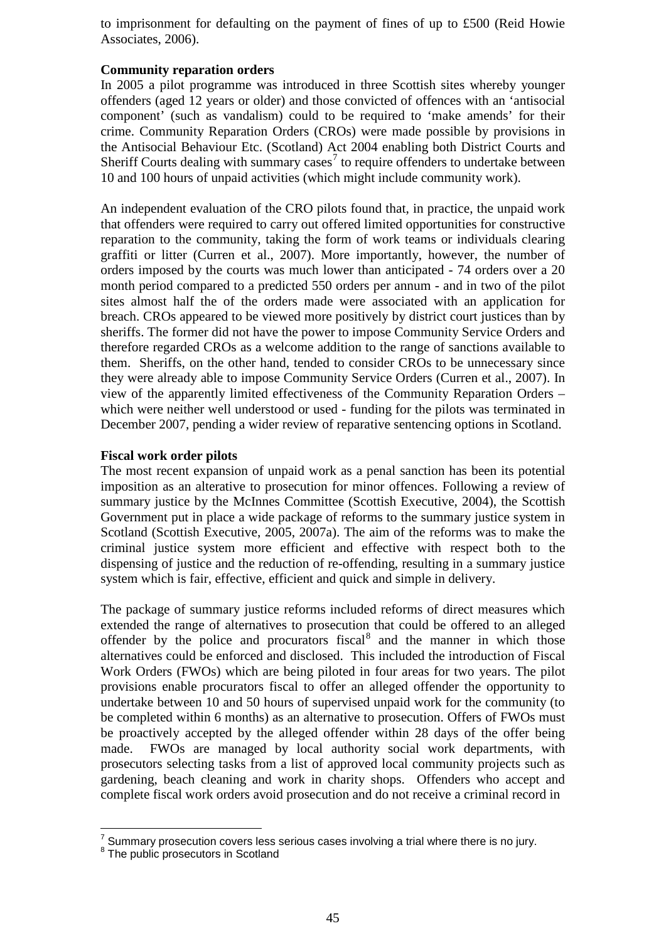to imprisonment for defaulting on the payment of fines of up to £500 (Reid Howie Associates, 2006).

### **Community reparation orders**

In 2005 a pilot programme was introduced in three Scottish sites whereby younger offenders (aged 12 years or older) and those convicted of offences with an 'antisocial component' (such as vandalism) could to be required to 'make amends' for their crime. Community Reparation Orders (CROs) were made possible by provisions in the Antisocial Behaviour Etc. (Scotland) Act 2004 enabling both District Courts and Sheriff Courts dealing with summary cases<sup>[7](#page-4-0)</sup> to require offenders to undertake between 10 and 100 hours of unpaid activities (which might include community work).

An independent evaluation of the CRO pilots found that, in practice, the unpaid work that offenders were required to carry out offered limited opportunities for constructive reparation to the community, taking the form of work teams or individuals clearing graffiti or litter (Curren et al., 2007). More importantly, however, the number of orders imposed by the courts was much lower than anticipated - 74 orders over a 20 month period compared to a predicted 550 orders per annum - and in two of the pilot sites almost half the of the orders made were associated with an application for breach. CROs appeared to be viewed more positively by district court justices than by sheriffs. The former did not have the power to impose Community Service Orders and therefore regarded CROs as a welcome addition to the range of sanctions available to them. Sheriffs, on the other hand, tended to consider CROs to be unnecessary since they were already able to impose Community Service Orders (Curren et al., 2007). In view of the apparently limited effectiveness of the Community Reparation Orders – which were neither well understood or used - funding for the pilots was terminated in December 2007, pending a wider review of reparative sentencing options in Scotland.

### **Fiscal work order pilots**

The most recent expansion of unpaid work as a penal sanction has been its potential imposition as an alterative to prosecution for minor offences. Following a review of summary justice by the McInnes Committee (Scottish Executive, 2004), the Scottish Government put in place a wide package of reforms to the summary justice system in Scotland (Scottish Executive, 2005, 2007a). The aim of the reforms was to make the criminal justice system more efficient and effective with respect both to the dispensing of justice and the reduction of re-offending, resulting in a summary justice system which is fair, effective, efficient and quick and simple in delivery.

The package of summary justice reforms included reforms of direct measures which extended the range of alternatives to prosecution that could be offered to an alleged offender by the police and procurators fiscal<sup>[8](#page-4-1)</sup> and the manner in which those alternatives could be enforced and disclosed. This included the introduction of Fiscal Work Orders (FWOs) which are being piloted in four areas for two years. The pilot provisions enable procurators fiscal to offer an alleged offender the opportunity to undertake between 10 and 50 hours of supervised unpaid work for the community (to be completed within 6 months) as an alternative to prosecution. Offers of FWOs must be proactively accepted by the alleged offender within 28 days of the offer being made. FWOs are managed by local authority social work departments, with prosecutors selecting tasks from a list of approved local community projects such as gardening, beach cleaning and work in charity shops. Offenders who accept and complete fiscal work orders avoid prosecution and do not receive a criminal record in

<span id="page-4-1"></span><span id="page-4-0"></span> $7$  Summary prosecution covers less serious cases involving a trial where there is no jury.<br><sup>8</sup> The public prosecutors in Scotland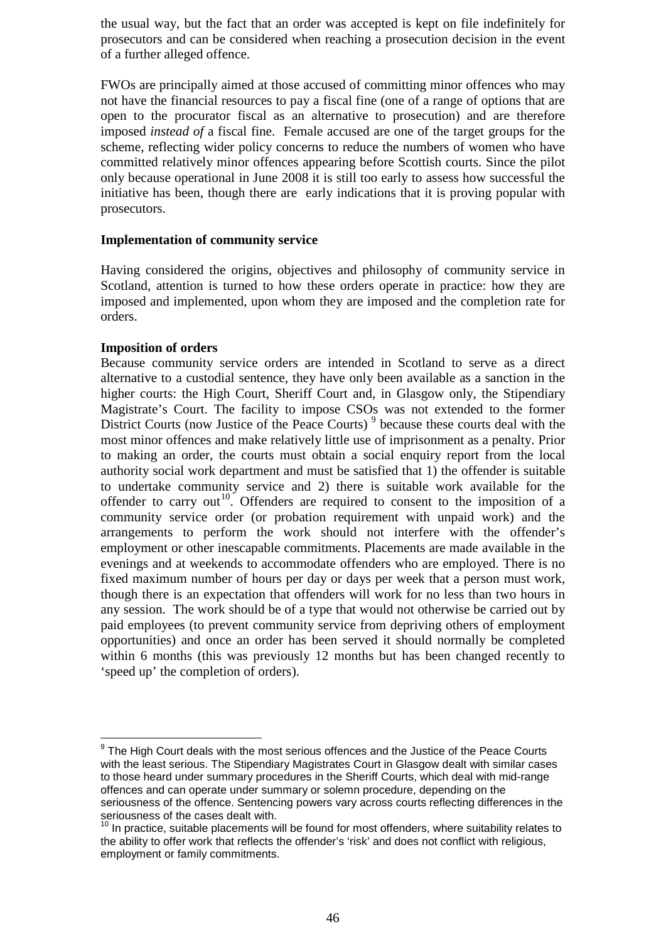the usual way, but the fact that an order was accepted is kept on file indefinitely for prosecutors and can be considered when reaching a prosecution decision in the event of a further alleged offence.

FWOs are principally aimed at those accused of committing minor offences who may not have the financial resources to pay a fiscal fine (one of a range of options that are open to the procurator fiscal as an alternative to prosecution) and are therefore imposed *instead of* a fiscal fine. Female accused are one of the target groups for the scheme, reflecting wider policy concerns to reduce the numbers of women who have committed relatively minor offences appearing before Scottish courts. Since the pilot only because operational in June 2008 it is still too early to assess how successful the initiative has been, though there are early indications that it is proving popular with prosecutors.

### **Implementation of community service**

Having considered the origins, objectives and philosophy of community service in Scotland, attention is turned to how these orders operate in practice: how they are imposed and implemented, upon whom they are imposed and the completion rate for orders.

### **Imposition of orders**

Because community service orders are intended in Scotland to serve as a direct alternative to a custodial sentence, they have only been available as a sanction in the higher courts: the High Court, Sheriff Court and, in Glasgow only, the Stipendiary Magistrate's Court. The facility to impose CSOs was not extended to the former District Courts (now Justice of the Peace Courts)<sup>[9](#page-5-0)</sup> because these courts deal with the most minor offences and make relatively little use of imprisonment as a penalty. Prior to making an order, the courts must obtain a social enquiry report from the local authority social work department and must be satisfied that 1) the offender is suitable to undertake community service and 2) there is suitable work available for the offender to carry out<sup>10</sup>. Offenders are required to consent to the imposition of a community service order (or probation requirement with unpaid work) and the arrangements to perform the work should not interfere with the offender's employment or other inescapable commitments. Placements are made available in the evenings and at weekends to accommodate offenders who are employed. There is no fixed maximum number of hours per day or days per week that a person must work, though there is an expectation that offenders will work for no less than two hours in any session. The work should be of a type that would not otherwise be carried out by paid employees (to prevent community service from depriving others of employment opportunities) and once an order has been served it should normally be completed within 6 months (this was previously 12 months but has been changed recently to 'speed up' the completion of orders).

<span id="page-5-0"></span> $9$  The High Court deals with the most serious offences and the Justice of the Peace Courts with the least serious. The Stipendiary Magistrates Court in Glasgow dealt with similar cases to those heard under summary procedures in the Sheriff Courts, which deal with mid-range offences and can operate under summary or solemn procedure, depending on the seriousness of the offence. Sentencing powers vary across courts reflecting differences in the seriousness of the cases dealt with.

<span id="page-5-1"></span> $10$  In practice, suitable placements will be found for most offenders, where suitability relates to the ability to offer work that reflects the offender's 'risk' and does not conflict with religious, employment or family commitments.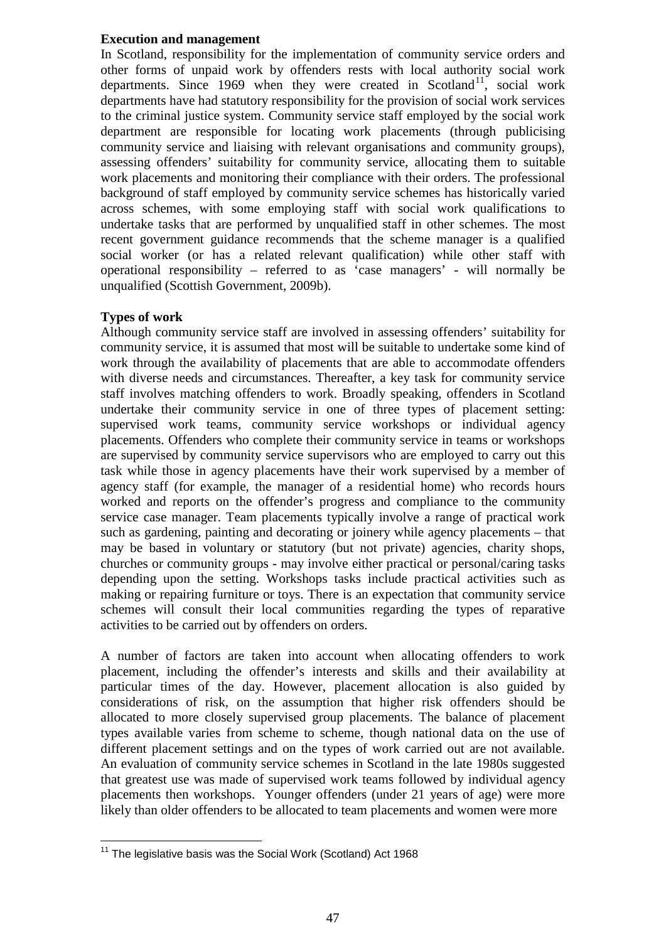## **Execution and management**

In Scotland, responsibility for the implementation of community service orders and other forms of unpaid work by offenders rests with local authority social work departments. Since 1969 when they were created in Scotland<sup>[11](#page-6-0)</sup>, social work departments have had statutory responsibility for the provision of social work services to the criminal justice system. Community service staff employed by the social work department are responsible for locating work placements (through publicising community service and liaising with relevant organisations and community groups), assessing offenders' suitability for community service, allocating them to suitable work placements and monitoring their compliance with their orders. The professional background of staff employed by community service schemes has historically varied across schemes, with some employing staff with social work qualifications to undertake tasks that are performed by unqualified staff in other schemes. The most recent government guidance recommends that the scheme manager is a qualified social worker (or has a related relevant qualification) while other staff with operational responsibility – referred to as 'case managers' - will normally be unqualified (Scottish Government, 2009b).

# **Types of work**

Although community service staff are involved in assessing offenders' suitability for community service, it is assumed that most will be suitable to undertake some kind of work through the availability of placements that are able to accommodate offenders with diverse needs and circumstances. Thereafter, a key task for community service staff involves matching offenders to work. Broadly speaking, offenders in Scotland undertake their community service in one of three types of placement setting: supervised work teams, community service workshops or individual agency placements. Offenders who complete their community service in teams or workshops are supervised by community service supervisors who are employed to carry out this task while those in agency placements have their work supervised by a member of agency staff (for example, the manager of a residential home) who records hours worked and reports on the offender's progress and compliance to the community service case manager. Team placements typically involve a range of practical work such as gardening, painting and decorating or joinery while agency placements – that may be based in voluntary or statutory (but not private) agencies, charity shops, churches or community groups - may involve either practical or personal/caring tasks depending upon the setting. Workshops tasks include practical activities such as making or repairing furniture or toys. There is an expectation that community service schemes will consult their local communities regarding the types of reparative activities to be carried out by offenders on orders.

A number of factors are taken into account when allocating offenders to work placement, including the offender's interests and skills and their availability at particular times of the day. However, placement allocation is also guided by considerations of risk, on the assumption that higher risk offenders should be allocated to more closely supervised group placements. The balance of placement types available varies from scheme to scheme, though national data on the use of different placement settings and on the types of work carried out are not available. An evaluation of community service schemes in Scotland in the late 1980s suggested that greatest use was made of supervised work teams followed by individual agency placements then workshops. Younger offenders (under 21 years of age) were more likely than older offenders to be allocated to team placements and women were more

<span id="page-6-0"></span><sup>&</sup>lt;sup>11</sup> The legislative basis was the Social Work (Scotland) Act 1968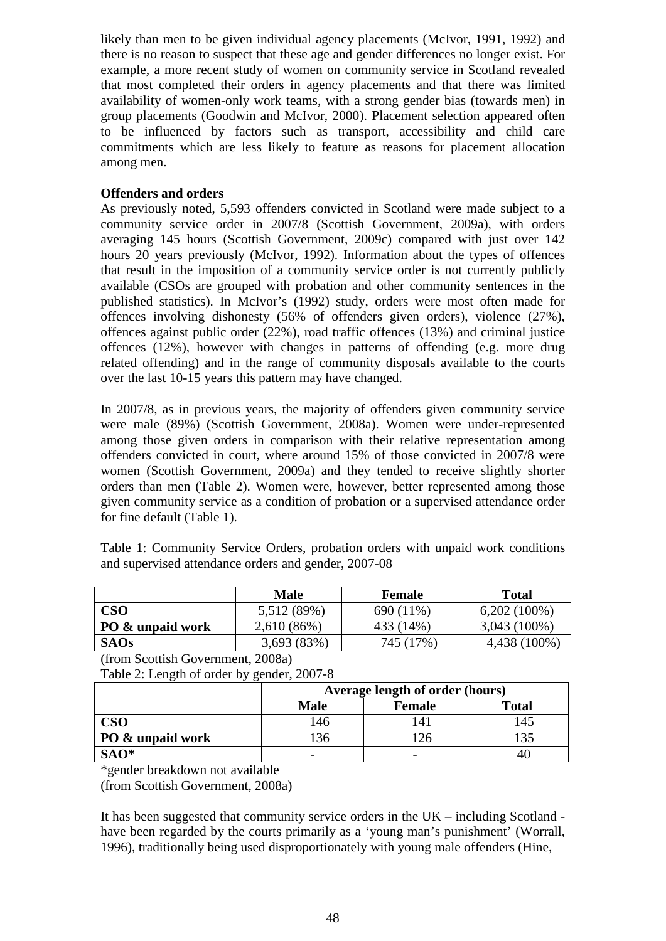likely than men to be given individual agency placements (McIvor, 1991, 1992) and there is no reason to suspect that these age and gender differences no longer exist. For example, a more recent study of women on community service in Scotland revealed that most completed their orders in agency placements and that there was limited availability of women-only work teams, with a strong gender bias (towards men) in group placements (Goodwin and McIvor, 2000). Placement selection appeared often to be influenced by factors such as transport, accessibility and child care commitments which are less likely to feature as reasons for placement allocation among men.

## **Offenders and orders**

As previously noted, 5,593 offenders convicted in Scotland were made subject to a community service order in 2007/8 (Scottish Government, 2009a), with orders averaging 145 hours (Scottish Government, 2009c) compared with just over 142 hours 20 years previously (McIvor, 1992). Information about the types of offences that result in the imposition of a community service order is not currently publicly available (CSOs are grouped with probation and other community sentences in the published statistics). In McIvor's (1992) study, orders were most often made for offences involving dishonesty (56% of offenders given orders), violence (27%), offences against public order (22%), road traffic offences (13%) and criminal justice offences (12%), however with changes in patterns of offending (e.g. more drug related offending) and in the range of community disposals available to the courts over the last 10-15 years this pattern may have changed.

In 2007/8, as in previous years, the majority of offenders given community service were male (89%) (Scottish Government, 2008a). Women were under-represented among those given orders in comparison with their relative representation among offenders convicted in court, where around 15% of those convicted in 2007/8 were women (Scottish Government, 2009a) and they tended to receive slightly shorter orders than men (Table 2). Women were, however, better represented among those given community service as a condition of probation or a supervised attendance order for fine default (Table 1).

Table 1: Community Service Orders, probation orders with unpaid work conditions and supervised attendance orders and gender, 2007-08

|                  | <b>Male</b> | Female    | <b>Total</b>   |
|------------------|-------------|-----------|----------------|
| <b>CSO</b>       | 5,512 (89%) | 690 (11%) | $6,202(100\%)$ |
| PO & unpaid work | 2,610(86%)  | 433 (14%) | $3,043(100\%)$ |
| <b>SAOs</b>      | 3,693 (83%) | 745 (17%) | 4,438 (100%)   |

(from Scottish Government, 2008a)

Table 2: Length of order by gender, 2007-8

|                  | Average length of order (hours) |               |              |  |  |
|------------------|---------------------------------|---------------|--------------|--|--|
|                  | <b>Male</b>                     | <b>Female</b> | <b>Total</b> |  |  |
|                  | 146                             |               | 45           |  |  |
| PO & unpaid work | 36                              |               | 35           |  |  |
| $SAO*$           | -                               |               | 40           |  |  |

\*gender breakdown not available

(from Scottish Government, 2008a)

It has been suggested that community service orders in the UK – including Scotland have been regarded by the courts primarily as a 'young man's punishment' (Worrall, 1996), traditionally being used disproportionately with young male offenders (Hine,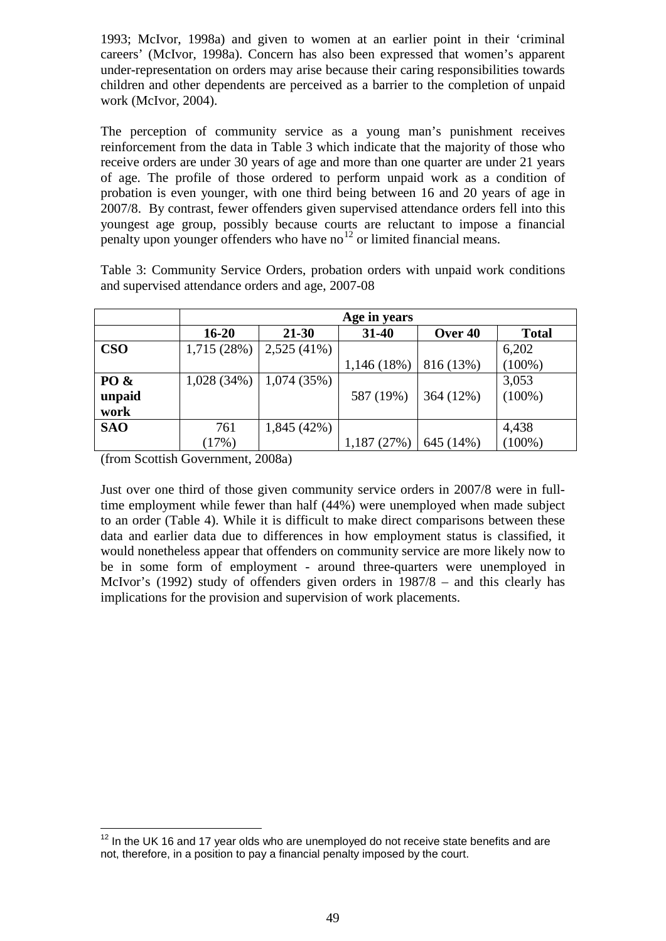1993; McIvor, 1998a) and given to women at an earlier point in their 'criminal careers' (McIvor, 1998a). Concern has also been expressed that women's apparent under-representation on orders may arise because their caring responsibilities towards children and other dependents are perceived as a barrier to the completion of unpaid work (McIvor, 2004).

The perception of community service as a young man's punishment receives reinforcement from the data in Table 3 which indicate that the majority of those who receive orders are under 30 years of age and more than one quarter are under 21 years of age. The profile of those ordered to perform unpaid work as a condition of probation is even younger, with one third being between 16 and 20 years of age in 2007/8. By contrast, fewer offenders given supervised attendance orders fell into this youngest age group, possibly because courts are reluctant to impose a financial penalty upon younger offenders who have no<sup>[12](#page-8-0)</sup> or limited financial means.

Table 3: Community Service Orders, probation orders with unpaid work conditions and supervised attendance orders and age, 2007-08

|            | Age in years |               |             |           |              |  |  |
|------------|--------------|---------------|-------------|-----------|--------------|--|--|
|            | $16 - 20$    | $21 - 30$     | $31 - 40$   | Over 40   | <b>Total</b> |  |  |
| <b>CSO</b> | 1,715(28%)   | $2,525(41\%)$ |             |           | 6,202        |  |  |
|            |              |               | 1,146 (18%) | 816 (13%) | $(100\%)$    |  |  |
| PO &       | 1,028(34%)   | 1,074(35%)    |             |           | 3,053        |  |  |
| unpaid     |              |               | 587 (19%)   | 364 (12%) | $(100\%)$    |  |  |
| work       |              |               |             |           |              |  |  |
| <b>SAO</b> | 761          | 1,845(42%)    |             |           | 4,438        |  |  |
|            | (17%)        |               | 1,187 (27%) | 645 (14%) | $(100\%)$    |  |  |

(from Scottish Government, 2008a)

Just over one third of those given community service orders in 2007/8 were in fulltime employment while fewer than half (44%) were unemployed when made subject to an order (Table 4). While it is difficult to make direct comparisons between these data and earlier data due to differences in how employment status is classified, it would nonetheless appear that offenders on community service are more likely now to be in some form of employment - around three-quarters were unemployed in McIvor's (1992) study of offenders given orders in 1987/8 – and this clearly has implications for the provision and supervision of work placements.

<span id="page-8-0"></span> $12$  In the UK 16 and 17 year olds who are unemployed do not receive state benefits and are not, therefore, in a position to pay a financial penalty imposed by the court.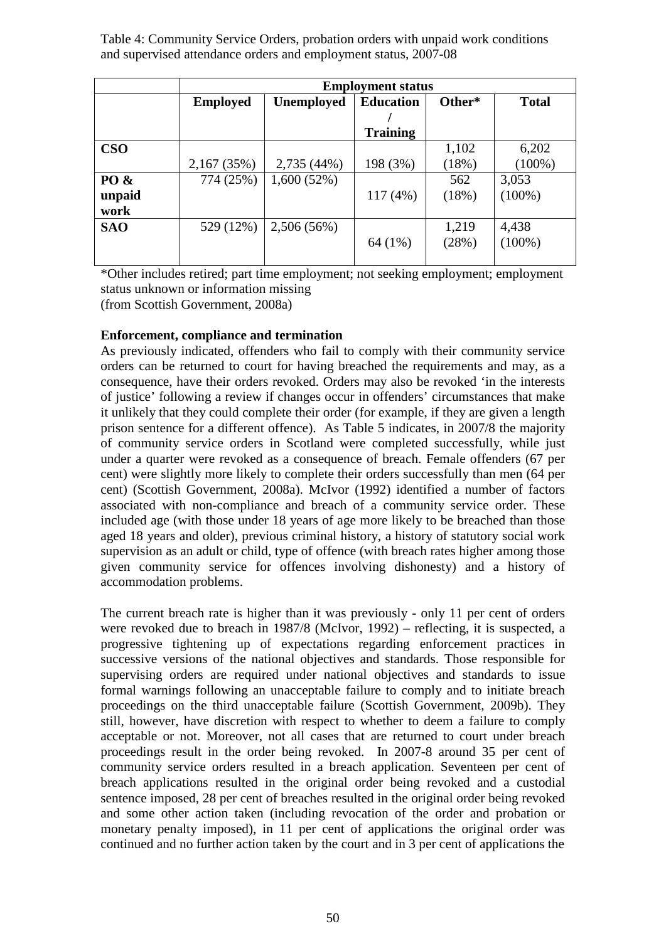Table 4: Community Service Orders, probation orders with unpaid work conditions and supervised attendance orders and employment status, 2007-08

|            | <b>Employment status</b> |                   |                  |        |              |  |  |
|------------|--------------------------|-------------------|------------------|--------|--------------|--|--|
|            | <b>Employed</b>          | <b>Unemployed</b> | <b>Education</b> | Other* | <b>Total</b> |  |  |
|            |                          |                   |                  |        |              |  |  |
|            |                          |                   | <b>Training</b>  |        |              |  |  |
| $\bf CSO$  |                          |                   |                  | 1,102  | 6,202        |  |  |
|            | 2,167 (35%)              | 2,735 (44%)       | 198 (3%)         | (18%)  | $(100\%)$    |  |  |
| PO &       | 774 (25%)                | 1,600(52%)        |                  | 562    | 3,053        |  |  |
| unpaid     |                          |                   | 117(4%)          | (18%)  | $(100\%)$    |  |  |
| work       |                          |                   |                  |        |              |  |  |
| <b>SAO</b> | 529 (12%)                | 2,506 (56%)       |                  | 1,219  | 4,438        |  |  |
|            |                          |                   | 64 (1%)          | (28%)  | $(100\%)$    |  |  |
|            |                          |                   |                  |        |              |  |  |

\*Other includes retired; part time employment; not seeking employment; employment status unknown or information missing (from Scottish Government, 2008a)

# **Enforcement, compliance and termination**

As previously indicated, offenders who fail to comply with their community service orders can be returned to court for having breached the requirements and may, as a consequence, have their orders revoked. Orders may also be revoked 'in the interests of justice' following a review if changes occur in offenders' circumstances that make it unlikely that they could complete their order (for example, if they are given a length prison sentence for a different offence). As Table 5 indicates, in 2007/8 the majority of community service orders in Scotland were completed successfully, while just under a quarter were revoked as a consequence of breach. Female offenders (67 per cent) were slightly more likely to complete their orders successfully than men (64 per cent) (Scottish Government, 2008a). McIvor (1992) identified a number of factors associated with non-compliance and breach of a community service order. These included age (with those under 18 years of age more likely to be breached than those aged 18 years and older), previous criminal history, a history of statutory social work supervision as an adult or child, type of offence (with breach rates higher among those given community service for offences involving dishonesty) and a history of accommodation problems.

The current breach rate is higher than it was previously - only 11 per cent of orders were revoked due to breach in 1987/8 (McIvor, 1992) – reflecting, it is suspected, a progressive tightening up of expectations regarding enforcement practices in successive versions of the national objectives and standards. Those responsible for supervising orders are required under national objectives and standards to issue formal warnings following an unacceptable failure to comply and to initiate breach proceedings on the third unacceptable failure (Scottish Government, 2009b). They still, however, have discretion with respect to whether to deem a failure to comply acceptable or not. Moreover, not all cases that are returned to court under breach proceedings result in the order being revoked. In 2007-8 around 35 per cent of community service orders resulted in a breach application. Seventeen per cent of breach applications resulted in the original order being revoked and a custodial sentence imposed, 28 per cent of breaches resulted in the original order being revoked and some other action taken (including revocation of the order and probation or monetary penalty imposed), in 11 per cent of applications the original order was continued and no further action taken by the court and in 3 per cent of applications the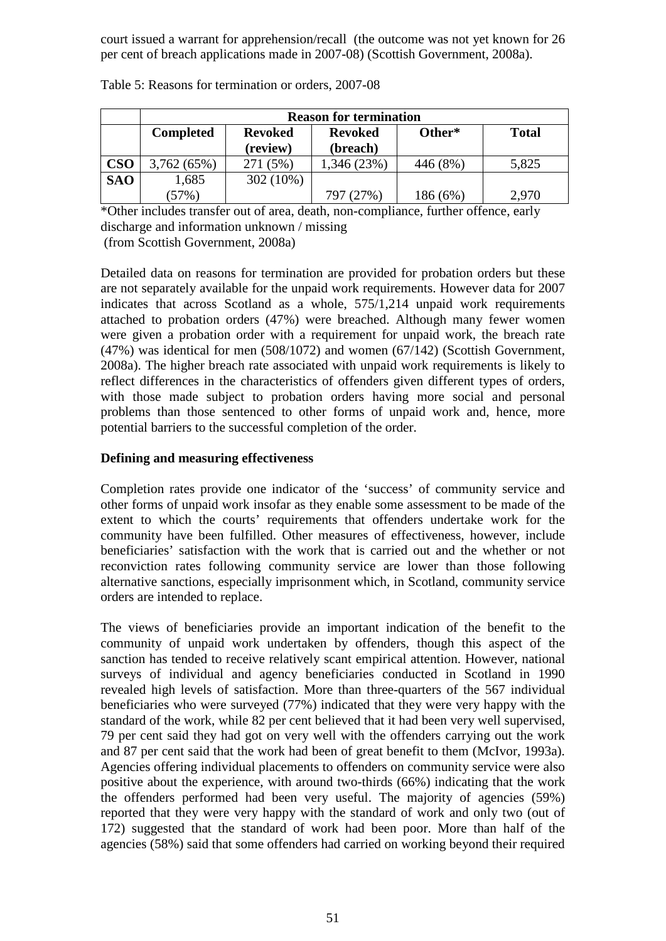court issued a warrant for apprehension/recall (the outcome was not yet known for 26 per cent of breach applications made in 2007-08) (Scottish Government, 2008a).

|            | <b>Reason for termination</b> |                                  |             |          |              |  |  |
|------------|-------------------------------|----------------------------------|-------------|----------|--------------|--|--|
|            | <b>Completed</b>              | <b>Revoked</b><br><b>Revoked</b> |             | Other*   | <b>Total</b> |  |  |
|            |                               | (review)                         | (breach)    |          |              |  |  |
| <b>CSO</b> | 3,762 (65%)                   | 271 (5%)                         | 1,346 (23%) | 446 (8%) | 5,825        |  |  |
| <b>SAO</b> | 1,685                         | 302 (10%)                        |             |          |              |  |  |
|            | (57%)                         |                                  | 797 (27%)   | 186 (6%) | 2.970        |  |  |

Table 5: Reasons for termination or orders, 2007-08

\*Other includes transfer out of area, death, non-compliance, further offence, early discharge and information unknown / missing

(from Scottish Government, 2008a)

Detailed data on reasons for termination are provided for probation orders but these are not separately available for the unpaid work requirements. However data for 2007 indicates that across Scotland as a whole, 575/1,214 unpaid work requirements attached to probation orders (47%) were breached. Although many fewer women were given a probation order with a requirement for unpaid work, the breach rate (47%) was identical for men (508/1072) and women (67/142) (Scottish Government, 2008a). The higher breach rate associated with unpaid work requirements is likely to reflect differences in the characteristics of offenders given different types of orders, with those made subject to probation orders having more social and personal problems than those sentenced to other forms of unpaid work and, hence, more potential barriers to the successful completion of the order.

## **Defining and measuring effectiveness**

Completion rates provide one indicator of the 'success' of community service and other forms of unpaid work insofar as they enable some assessment to be made of the extent to which the courts' requirements that offenders undertake work for the community have been fulfilled. Other measures of effectiveness, however, include beneficiaries' satisfaction with the work that is carried out and the whether or not reconviction rates following community service are lower than those following alternative sanctions, especially imprisonment which, in Scotland, community service orders are intended to replace.

The views of beneficiaries provide an important indication of the benefit to the community of unpaid work undertaken by offenders, though this aspect of the sanction has tended to receive relatively scant empirical attention. However, national surveys of individual and agency beneficiaries conducted in Scotland in 1990 revealed high levels of satisfaction. More than three-quarters of the 567 individual beneficiaries who were surveyed (77%) indicated that they were very happy with the standard of the work, while 82 per cent believed that it had been very well supervised, 79 per cent said they had got on very well with the offenders carrying out the work and 87 per cent said that the work had been of great benefit to them (McIvor, 1993a). Agencies offering individual placements to offenders on community service were also positive about the experience, with around two-thirds (66%) indicating that the work the offenders performed had been very useful. The majority of agencies (59%) reported that they were very happy with the standard of work and only two (out of 172) suggested that the standard of work had been poor. More than half of the agencies (58%) said that some offenders had carried on working beyond their required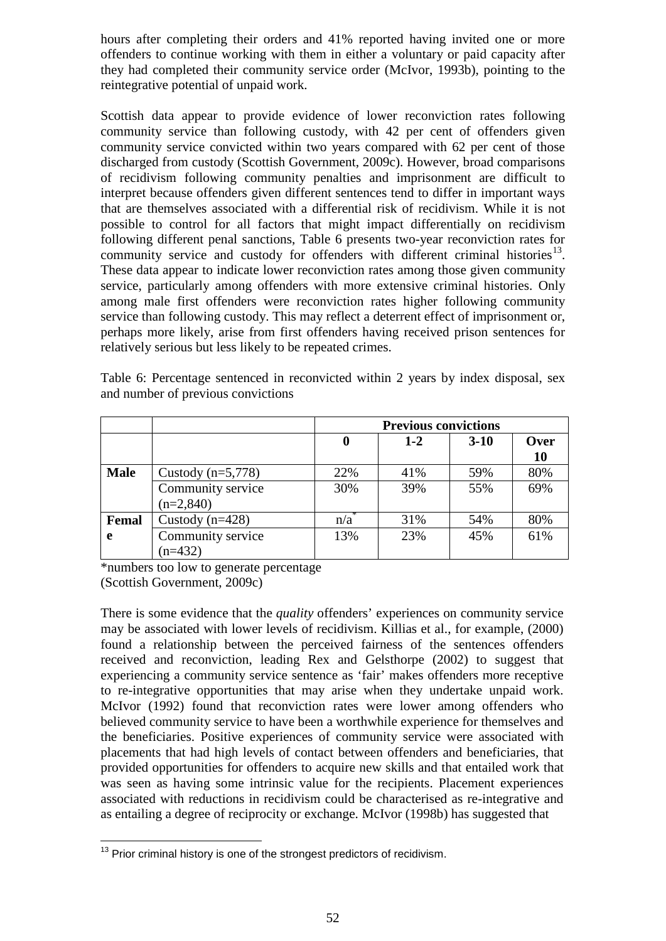hours after completing their orders and 41% reported having invited one or more offenders to continue working with them in either a voluntary or paid capacity after they had completed their community service order (McIvor, 1993b), pointing to the reintegrative potential of unpaid work.

Scottish data appear to provide evidence of lower reconviction rates following community service than following custody, with 42 per cent of offenders given community service convicted within two years compared with 62 per cent of those discharged from custody (Scottish Government, 2009c). However, broad comparisons of recidivism following community penalties and imprisonment are difficult to interpret because offenders given different sentences tend to differ in important ways that are themselves associated with a differential risk of recidivism. While it is not possible to control for all factors that might impact differentially on recidivism following different penal sanctions, Table 6 presents two-year reconviction rates for community service and custody for offenders with different criminal histories<sup>[13](#page-11-0)</sup>. These data appear to indicate lower reconviction rates among those given community service, particularly among offenders with more extensive criminal histories. Only among male first offenders were reconviction rates higher following community service than following custody. This may reflect a deterrent effect of imprisonment or, perhaps more likely, arise from first offenders having received prison sentences for relatively serious but less likely to be repeated crimes.

| Table 6: Percentage sentenced in reconvicted within 2 years by index disposal, sex |  |  |  |  |
|------------------------------------------------------------------------------------|--|--|--|--|
| and number of previous convictions                                                 |  |  |  |  |

|             |                     | <b>Previous convictions</b> |       |          |             |  |
|-------------|---------------------|-----------------------------|-------|----------|-------------|--|
|             |                     | $\bf{0}$                    | $1-2$ | $3 - 10$ | <b>Over</b> |  |
|             |                     |                             |       |          | <b>10</b>   |  |
| <b>Male</b> | Custody $(n=5,778)$ | 22%                         | 41%   | 59%      | 80%         |  |
|             | Community service   | 30%                         | 39%   | 55%      | 69%         |  |
|             | $(n=2,840)$         |                             |       |          |             |  |
| Femal       | Custody $(n=428)$   | $\overline{n/a}^*$          | 31%   | 54%      | 80%         |  |
| e           | Community service   | 13%                         | 23%   | 45%      | 61%         |  |
|             | $(n=432)$           |                             |       |          |             |  |

\*numbers too low to generate percentage (Scottish Government, 2009c)

There is some evidence that the *quality* offenders' experiences on community service may be associated with lower levels of recidivism. Killias et al., for example, (2000) found a relationship between the perceived fairness of the sentences offenders received and reconviction, leading Rex and Gelsthorpe (2002) to suggest that experiencing a community service sentence as 'fair' makes offenders more receptive to re-integrative opportunities that may arise when they undertake unpaid work. McIvor (1992) found that reconviction rates were lower among offenders who believed community service to have been a worthwhile experience for themselves and the beneficiaries. Positive experiences of community service were associated with placements that had high levels of contact between offenders and beneficiaries, that provided opportunities for offenders to acquire new skills and that entailed work that was seen as having some intrinsic value for the recipients. Placement experiences associated with reductions in recidivism could be characterised as re-integrative and as entailing a degree of reciprocity or exchange. McIvor (1998b) has suggested that

<span id="page-11-0"></span> $13$  Prior criminal history is one of the strongest predictors of recidivism.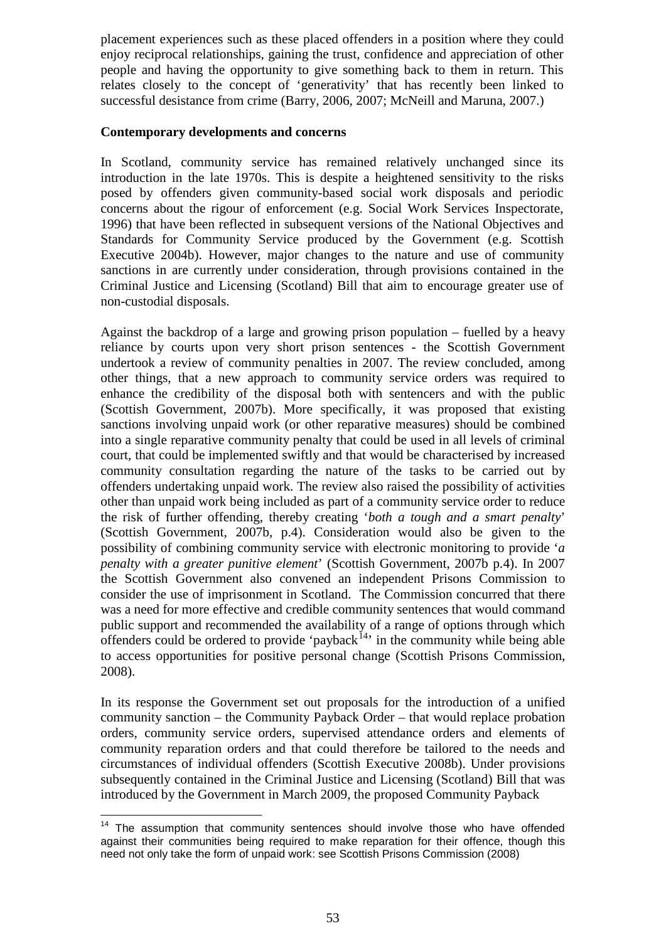placement experiences such as these placed offenders in a position where they could enjoy reciprocal relationships, gaining the trust, confidence and appreciation of other people and having the opportunity to give something back to them in return. This relates closely to the concept of 'generativity' that has recently been linked to successful desistance from crime (Barry, 2006, 2007; McNeill and Maruna, 2007.)

#### **Contemporary developments and concerns**

In Scotland, community service has remained relatively unchanged since its introduction in the late 1970s. This is despite a heightened sensitivity to the risks posed by offenders given community-based social work disposals and periodic concerns about the rigour of enforcement (e.g. Social Work Services Inspectorate, 1996) that have been reflected in subsequent versions of the National Objectives and Standards for Community Service produced by the Government (e.g. Scottish Executive 2004b). However, major changes to the nature and use of community sanctions in are currently under consideration, through provisions contained in the Criminal Justice and Licensing (Scotland) Bill that aim to encourage greater use of non-custodial disposals.

Against the backdrop of a large and growing prison population – fuelled by a heavy reliance by courts upon very short prison sentences - the Scottish Government undertook a review of community penalties in 2007. The review concluded, among other things, that a new approach to community service orders was required to enhance the credibility of the disposal both with sentencers and with the public (Scottish Government, 2007b). More specifically, it was proposed that existing sanctions involving unpaid work (or other reparative measures) should be combined into a single reparative community penalty that could be used in all levels of criminal court, that could be implemented swiftly and that would be characterised by increased community consultation regarding the nature of the tasks to be carried out by offenders undertaking unpaid work. The review also raised the possibility of activities other than unpaid work being included as part of a community service order to reduce the risk of further offending, thereby creating '*both a tough and a smart penalty*' (Scottish Government, 2007b, p.4). Consideration would also be given to the possibility of combining community service with electronic monitoring to provide '*a penalty with a greater punitive element*' (Scottish Government, 2007b p.4). In 2007 the Scottish Government also convened an independent Prisons Commission to consider the use of imprisonment in Scotland. The Commission concurred that there was a need for more effective and credible community sentences that would command public support and recommended the availability of a range of options through which offenders could be ordered to provide 'payback<sup>[14](#page-12-0)</sup>' in the community while being able to access opportunities for positive personal change (Scottish Prisons Commission, 2008).

In its response the Government set out proposals for the introduction of a unified community sanction – the Community Payback Order – that would replace probation orders, community service orders, supervised attendance orders and elements of community reparation orders and that could therefore be tailored to the needs and circumstances of individual offenders (Scottish Executive 2008b). Under provisions subsequently contained in the Criminal Justice and Licensing (Scotland) Bill that was introduced by the Government in March 2009, the proposed Community Payback

<span id="page-12-0"></span><sup>&</sup>lt;sup>14</sup> The assumption that community sentences should involve those who have offended against their communities being required to make reparation for their offence, though this need not only take the form of unpaid work: see Scottish Prisons Commission (2008)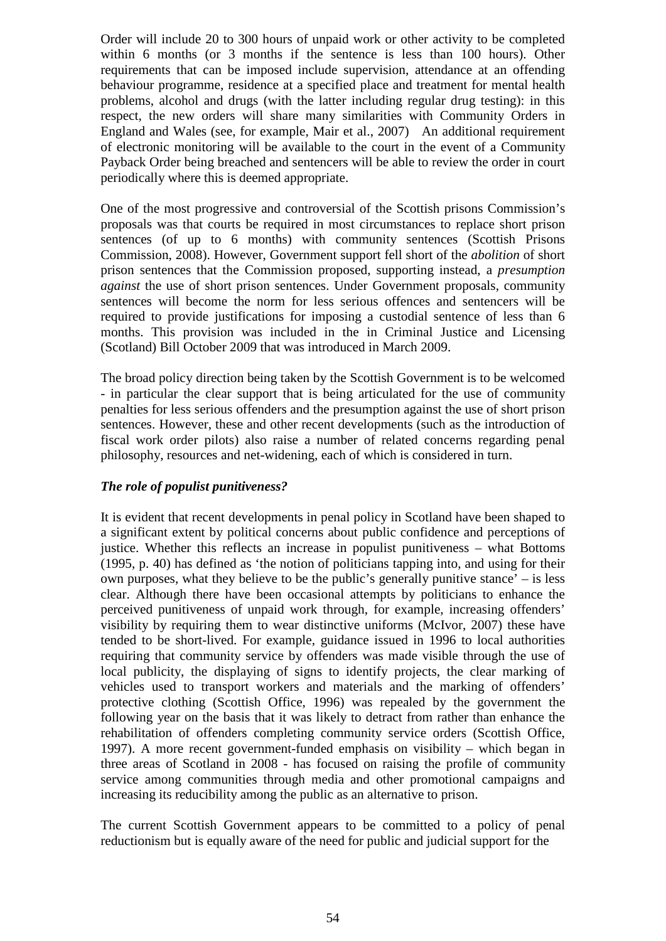Order will include 20 to 300 hours of unpaid work or other activity to be completed within 6 months (or 3 months if the sentence is less than 100 hours). Other requirements that can be imposed include supervision, attendance at an offending behaviour programme, residence at a specified place and treatment for mental health problems, alcohol and drugs (with the latter including regular drug testing): in this respect, the new orders will share many similarities with Community Orders in England and Wales (see, for example, Mair et al., 2007) An additional requirement of electronic monitoring will be available to the court in the event of a Community Payback Order being breached and sentencers will be able to review the order in court periodically where this is deemed appropriate.

One of the most progressive and controversial of the Scottish prisons Commission's proposals was that courts be required in most circumstances to replace short prison sentences (of up to 6 months) with community sentences (Scottish Prisons Commission, 2008). However, Government support fell short of the *abolition* of short prison sentences that the Commission proposed, supporting instead, a *presumption against* the use of short prison sentences. Under Government proposals, community sentences will become the norm for less serious offences and sentencers will be required to provide justifications for imposing a custodial sentence of less than 6 months. This provision was included in the in Criminal Justice and Licensing (Scotland) Bill October 2009 that was introduced in March 2009.

The broad policy direction being taken by the Scottish Government is to be welcomed - in particular the clear support that is being articulated for the use of community penalties for less serious offenders and the presumption against the use of short prison sentences. However, these and other recent developments (such as the introduction of fiscal work order pilots) also raise a number of related concerns regarding penal philosophy, resources and net-widening, each of which is considered in turn.

## *The role of populist punitiveness?*

It is evident that recent developments in penal policy in Scotland have been shaped to a significant extent by political concerns about public confidence and perceptions of justice. Whether this reflects an increase in populist punitiveness – what Bottoms (1995, p. 40) has defined as 'the notion of politicians tapping into, and using for their own purposes, what they believe to be the public's generally punitive stance' – is less clear. Although there have been occasional attempts by politicians to enhance the perceived punitiveness of unpaid work through, for example, increasing offenders' visibility by requiring them to wear distinctive uniforms (McIvor, 2007) these have tended to be short-lived. For example, guidance issued in 1996 to local authorities requiring that community service by offenders was made visible through the use of local publicity, the displaying of signs to identify projects, the clear marking of vehicles used to transport workers and materials and the marking of offenders' protective clothing (Scottish Office, 1996) was repealed by the government the following year on the basis that it was likely to detract from rather than enhance the rehabilitation of offenders completing community service orders (Scottish Office, 1997). A more recent government-funded emphasis on visibility – which began in three areas of Scotland in 2008 - has focused on raising the profile of community service among communities through media and other promotional campaigns and increasing its reducibility among the public as an alternative to prison.

The current Scottish Government appears to be committed to a policy of penal reductionism but is equally aware of the need for public and judicial support for the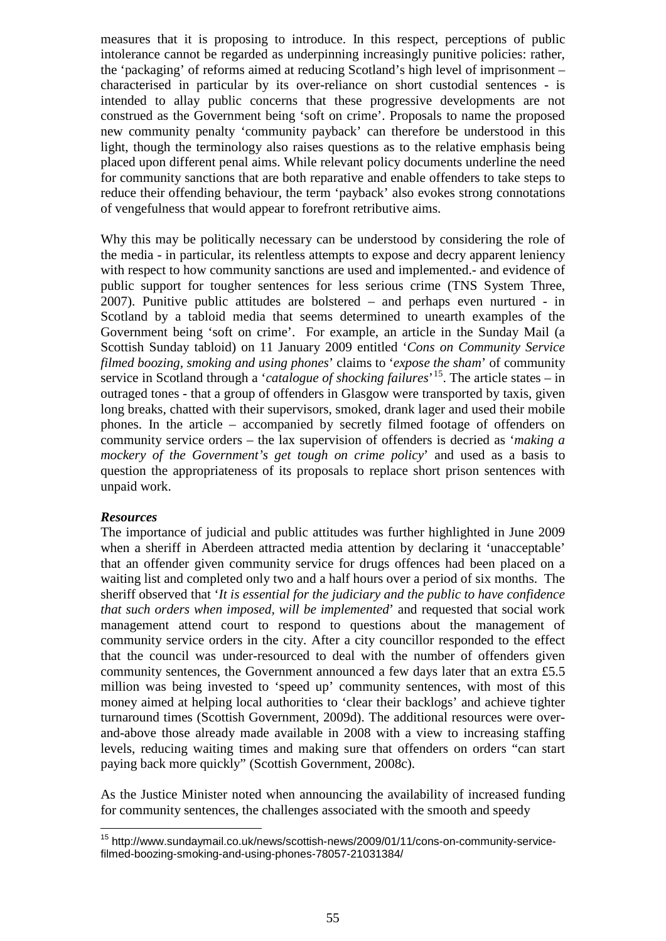measures that it is proposing to introduce. In this respect, perceptions of public intolerance cannot be regarded as underpinning increasingly punitive policies: rather, the 'packaging' of reforms aimed at reducing Scotland's high level of imprisonment – characterised in particular by its over-reliance on short custodial sentences - is intended to allay public concerns that these progressive developments are not construed as the Government being 'soft on crime'. Proposals to name the proposed new community penalty 'community payback' can therefore be understood in this light, though the terminology also raises questions as to the relative emphasis being placed upon different penal aims. While relevant policy documents underline the need for community sanctions that are both reparative and enable offenders to take steps to reduce their offending behaviour, the term 'payback' also evokes strong connotations of vengefulness that would appear to forefront retributive aims.

Why this may be politically necessary can be understood by considering the role of the media - in particular, its relentless attempts to expose and decry apparent leniency with respect to how community sanctions are used and implemented.- and evidence of public support for tougher sentences for less serious crime (TNS System Three, 2007). Punitive public attitudes are bolstered – and perhaps even nurtured - in Scotland by a tabloid media that seems determined to unearth examples of the Government being 'soft on crime'. For example, an article in the Sunday Mail (a Scottish Sunday tabloid) on 11 January 2009 entitled '*Cons on Community Service filmed boozing, smoking and using phones*' claims to '*expose the sham*' of community service in Scotland through a '*catalogue of shocking failures*' [15](#page-14-0). The article states – in outraged tones - that a group of offenders in Glasgow were transported by taxis, given long breaks, chatted with their supervisors, smoked, drank lager and used their mobile phones. In the article – accompanied by secretly filmed footage of offenders on community service orders – the lax supervision of offenders is decried as '*making a mockery of the Government's get tough on crime policy*' and used as a basis to question the appropriateness of its proposals to replace short prison sentences with unpaid work.

### *Resources*

The importance of judicial and public attitudes was further highlighted in June 2009 when a sheriff in Aberdeen attracted media attention by declaring it 'unacceptable' that an offender given community service for drugs offences had been placed on a waiting list and completed only two and a half hours over a period of six months. The sheriff observed that '*It is essential for the judiciary and the public to have confidence that such orders when imposed, will be implemented*' and requested that social work management attend court to respond to questions about the management of community service orders in the city. After a city councillor responded to the effect that the council was under-resourced to deal with the number of offenders given community sentences, the Government announced a few days later that an extra £5.5 million was being invested to 'speed up' community sentences, with most of this money aimed at helping local authorities to 'clear their backlogs' and achieve tighter turnaround times (Scottish Government, 2009d). The additional resources were overand-above those already made available in 2008 with a view to increasing staffing levels, reducing waiting times and making sure that offenders on orders "can start paying back more quickly" (Scottish Government, 2008c).

As the Justice Minister noted when announcing the availability of increased funding for community sentences, the challenges associated with the smooth and speedy

<span id="page-14-0"></span><sup>15</sup> http://www.sundaymail.co.uk/news/scottish-news/2009/01/11/cons-on-community-servicefilmed-boozing-smoking-and-using-phones-78057-21031384/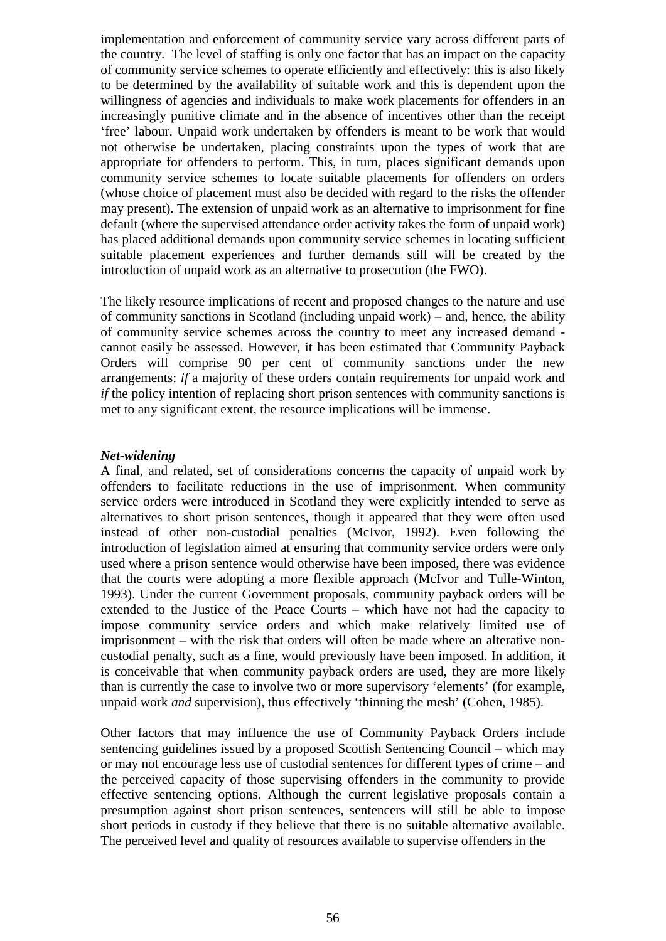implementation and enforcement of community service vary across different parts of the country. The level of staffing is only one factor that has an impact on the capacity of community service schemes to operate efficiently and effectively: this is also likely to be determined by the availability of suitable work and this is dependent upon the willingness of agencies and individuals to make work placements for offenders in an increasingly punitive climate and in the absence of incentives other than the receipt 'free' labour. Unpaid work undertaken by offenders is meant to be work that would not otherwise be undertaken, placing constraints upon the types of work that are appropriate for offenders to perform. This, in turn, places significant demands upon community service schemes to locate suitable placements for offenders on orders (whose choice of placement must also be decided with regard to the risks the offender may present). The extension of unpaid work as an alternative to imprisonment for fine default (where the supervised attendance order activity takes the form of unpaid work) has placed additional demands upon community service schemes in locating sufficient suitable placement experiences and further demands still will be created by the introduction of unpaid work as an alternative to prosecution (the FWO).

The likely resource implications of recent and proposed changes to the nature and use of community sanctions in Scotland (including unpaid work) – and, hence, the ability of community service schemes across the country to meet any increased demand cannot easily be assessed. However, it has been estimated that Community Payback Orders will comprise 90 per cent of community sanctions under the new arrangements: *if* a majority of these orders contain requirements for unpaid work and *if* the policy intention of replacing short prison sentences with community sanctions is met to any significant extent, the resource implications will be immense.

#### *Net-widening*

A final, and related, set of considerations concerns the capacity of unpaid work by offenders to facilitate reductions in the use of imprisonment. When community service orders were introduced in Scotland they were explicitly intended to serve as alternatives to short prison sentences, though it appeared that they were often used instead of other non-custodial penalties (McIvor, 1992). Even following the introduction of legislation aimed at ensuring that community service orders were only used where a prison sentence would otherwise have been imposed, there was evidence that the courts were adopting a more flexible approach (McIvor and Tulle-Winton, 1993). Under the current Government proposals, community payback orders will be extended to the Justice of the Peace Courts – which have not had the capacity to impose community service orders and which make relatively limited use of imprisonment – with the risk that orders will often be made where an alterative noncustodial penalty, such as a fine, would previously have been imposed. In addition, it is conceivable that when community payback orders are used, they are more likely than is currently the case to involve two or more supervisory 'elements' (for example, unpaid work *and* supervision), thus effectively 'thinning the mesh' (Cohen, 1985).

Other factors that may influence the use of Community Payback Orders include sentencing guidelines issued by a proposed Scottish Sentencing Council – which may or may not encourage less use of custodial sentences for different types of crime – and the perceived capacity of those supervising offenders in the community to provide effective sentencing options. Although the current legislative proposals contain a presumption against short prison sentences, sentencers will still be able to impose short periods in custody if they believe that there is no suitable alternative available. The perceived level and quality of resources available to supervise offenders in the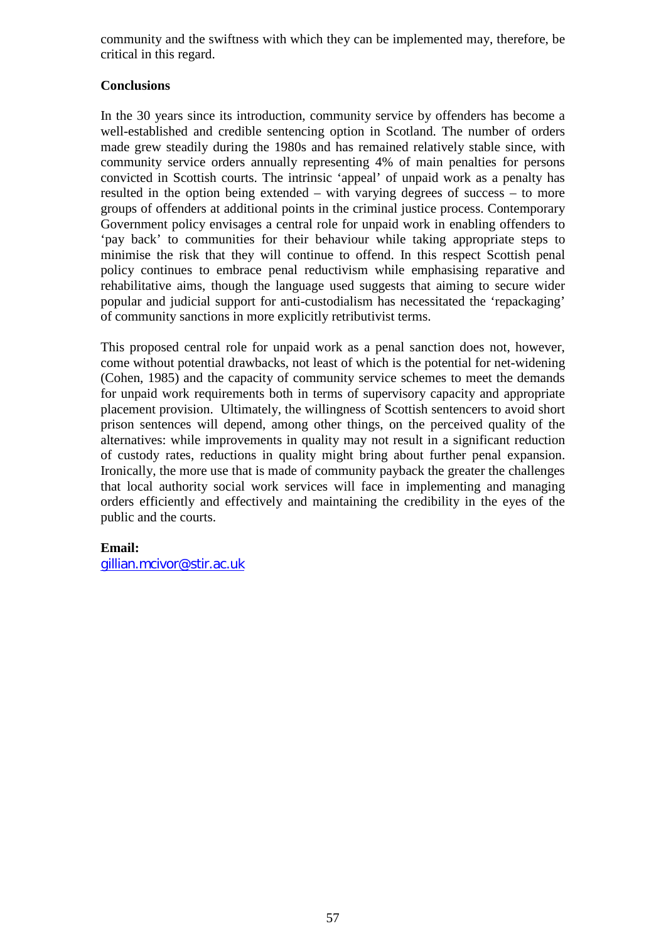community and the swiftness with which they can be implemented may, therefore, be critical in this regard.

## **Conclusions**

In the 30 years since its introduction, community service by offenders has become a well-established and credible sentencing option in Scotland. The number of orders made grew steadily during the 1980s and has remained relatively stable since, with community service orders annually representing 4% of main penalties for persons convicted in Scottish courts. The intrinsic 'appeal' of unpaid work as a penalty has resulted in the option being extended – with varying degrees of success – to more groups of offenders at additional points in the criminal justice process. Contemporary Government policy envisages a central role for unpaid work in enabling offenders to 'pay back' to communities for their behaviour while taking appropriate steps to minimise the risk that they will continue to offend. In this respect Scottish penal policy continues to embrace penal reductivism while emphasising reparative and rehabilitative aims, though the language used suggests that aiming to secure wider popular and judicial support for anti-custodialism has necessitated the 'repackaging' of community sanctions in more explicitly retributivist terms.

This proposed central role for unpaid work as a penal sanction does not, however, come without potential drawbacks, not least of which is the potential for net-widening (Cohen, 1985) and the capacity of community service schemes to meet the demands for unpaid work requirements both in terms of supervisory capacity and appropriate placement provision. Ultimately, the willingness of Scottish sentencers to avoid short prison sentences will depend, among other things, on the perceived quality of the alternatives: while improvements in quality may not result in a significant reduction of custody rates, reductions in quality might bring about further penal expansion. Ironically, the more use that is made of community payback the greater the challenges that local authority social work services will face in implementing and managing orders efficiently and effectively and maintaining the credibility in the eyes of the public and the courts.

## **Email:**

[gillian.mcivor@stir.ac.uk](mailto:gillian.mcivor@stir.ac.uk)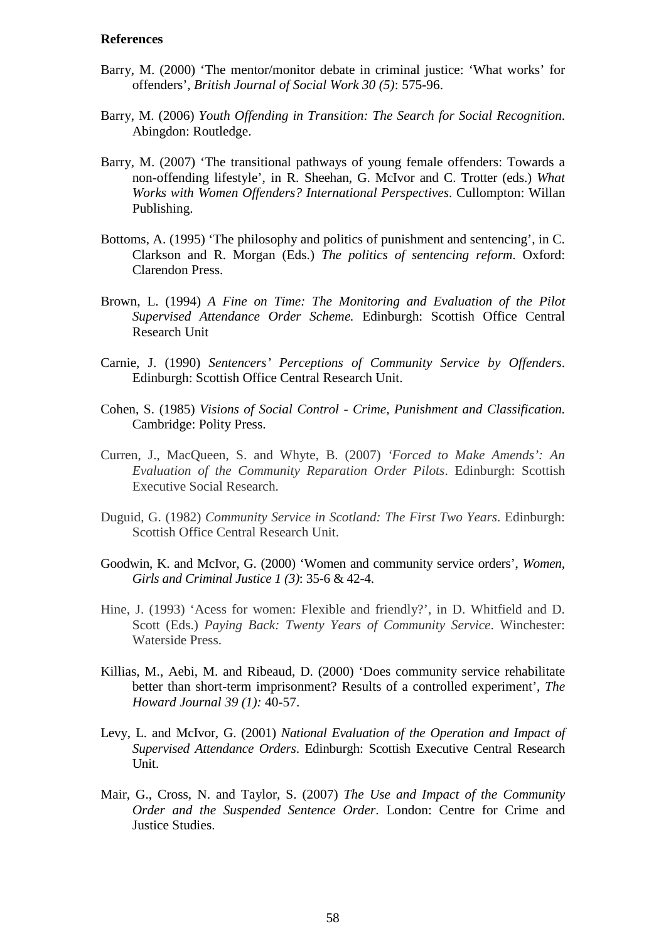#### **References**

- Barry, M. (2000) 'The mentor/monitor debate in criminal justice: 'What works' for offenders', *British Journal of Social Work 30 (5)*: 575-96.
- Barry, M. (2006) *Youth Offending in Transition: The Search for Social Recognition*. Abingdon: Routledge.
- Barry, M. (2007) 'The transitional pathways of young female offenders: Towards a non-offending lifestyle', in R. Sheehan, G. McIvor and C. Trotter (eds.) *What Works with Women Offenders? International Perspectives*. Cullompton: Willan Publishing.
- Bottoms, A. (1995) 'The philosophy and politics of punishment and sentencing', in C. Clarkson and R. Morgan (Eds.) *The politics of sentencing reform*. Oxford: Clarendon Press.
- Brown, L. (1994) *A Fine on Time: The Monitoring and Evaluation of the Pilot Supervised Attendance Order Scheme.* Edinburgh: Scottish Office Central Research Unit
- Carnie, J. (1990) *Sentencers' Perceptions of Community Service by Offenders*. Edinburgh: Scottish Office Central Research Unit.
- Cohen, S. (1985) *Visions of Social Control - Crime, Punishment and Classification.* Cambridge: Polity Press.
- Curren, J., MacQueen, S. and Whyte, B. (2007) *'Forced to Make Amends': An Evaluation of the Community Reparation Order Pilots*. Edinburgh: Scottish Executive Social Research.
- Duguid, G. (1982) *Community Service in Scotland: The First Two Years*. Edinburgh: Scottish Office Central Research Unit.
- Goodwin, K. and McIvor, G. (2000) 'Women and community service orders', *Women, Girls and Criminal Justice 1 (3)*: 35-6 & 42-4.
- Hine, J. (1993) 'Acess for women: Flexible and friendly?', in D. Whitfield and D. Scott (Eds.) *Paying Back: Twenty Years of Community Service*. Winchester: Waterside Press.
- Killias, M., Aebi, M. and Ribeaud, D. (2000) 'Does community service rehabilitate better than short-term imprisonment? Results of a controlled experiment', *The Howard Journal 39 (1):* 40-57.
- Levy, L. and McIvor, G. (2001) *National Evaluation of the Operation and Impact of Supervised Attendance Orders*. Edinburgh: Scottish Executive Central Research Unit.
- Mair, G., Cross, N. and Taylor, S. (2007) *The Use and Impact of the Community Order and the Suspended Sentence Order*. London: Centre for Crime and Justice Studies.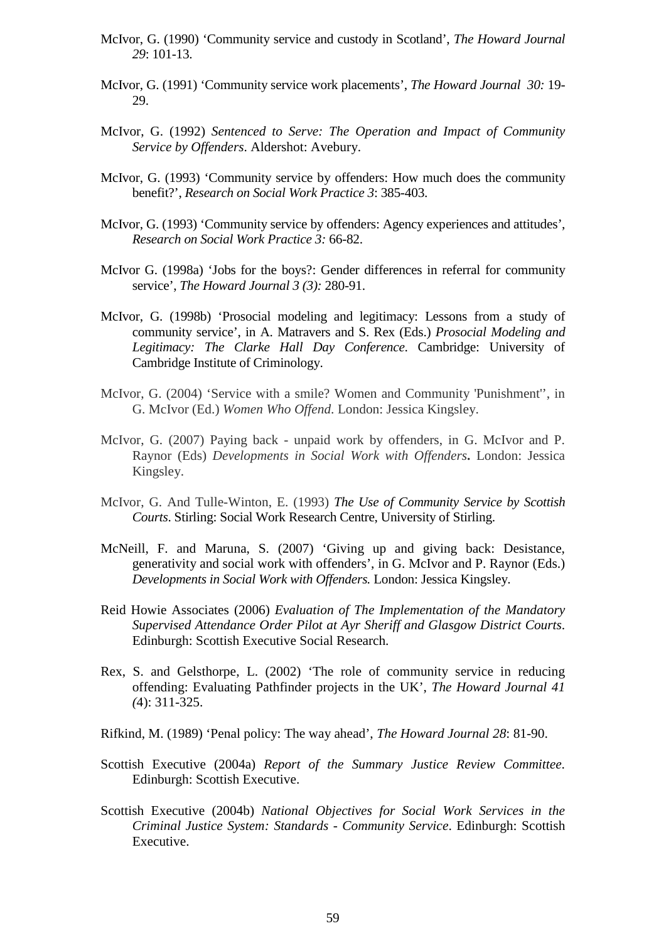- McIvor, G. (1990) 'Community service and custody in Scotland', *The Howard Journal 29*: 101-13.
- McIvor, G. (1991) 'Community service work placements', *The Howard Journal 30:* 19- 29.
- McIvor, G. (1992) *Sentenced to Serve: The Operation and Impact of Community Service by Offenders*. Aldershot: Avebury.
- McIvor, G. (1993) 'Community service by offenders: How much does the community benefit?', *Research on Social Work Practice 3*: 385-403.
- McIvor, G. (1993) 'Community service by offenders: Agency experiences and attitudes', *Research on Social Work Practice 3:* 66-82.
- McIvor G. (1998a) 'Jobs for the boys?: Gender differences in referral for community service', *The Howard Journal 3 (3):* 280-91.
- McIvor, G. (1998b) 'Prosocial modeling and legitimacy: Lessons from a study of community service', in A. Matravers and S. Rex (Eds.) *Prosocial Modeling and Legitimacy: The Clarke Hall Day Conference*. Cambridge: University of Cambridge Institute of Criminology.
- McIvor, G. (2004) 'Service with a smile? Women and Community 'Punishment'', in G. McIvor (Ed.) *Women Who Offend*. London: Jessica Kingsley.
- McIvor, G. (2007) Paying back unpaid work by offenders, in G. McIvor and P. Raynor (Eds) *Developments in Social Work with Offenders***.** London: Jessica Kingsley.
- McIvor, G. And Tulle-Winton, E. (1993) *The Use of Community Service by Scottish Courts*. Stirling: Social Work Research Centre, University of Stirling.
- McNeill, F. and Maruna, S. (2007) 'Giving up and giving back: Desistance, generativity and social work with offenders', in G. McIvor and P. Raynor (Eds.) *Developments in Social Work with Offenders.* London: Jessica Kingsley.
- Reid Howie Associates (2006) *Evaluation of The Implementation of the Mandatory Supervised Attendance Order Pilot at Ayr Sheriff and Glasgow District Courts*. Edinburgh: Scottish Executive Social Research.
- Rex, S. and Gelsthorpe, L. (2002) 'The role of community service in reducing offending: Evaluating Pathfinder projects in the UK', *The Howard Journal 41 (*4): 311-325.
- Rifkind, M. (1989) 'Penal policy: The way ahead', *The Howard Journal 28*: 81-90.
- Scottish Executive (2004a) *Report of the Summary Justice Review Committee*. Edinburgh: Scottish Executive.
- Scottish Executive (2004b) *National Objectives for Social Work Services in the Criminal Justice System: Standards - Community Service*. Edinburgh: Scottish Executive.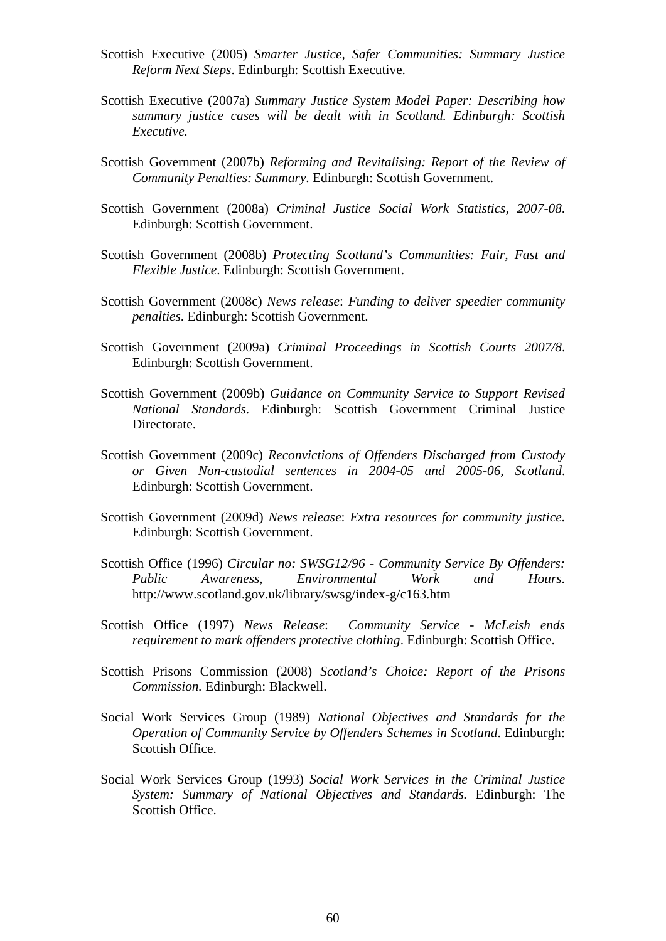- Scottish Executive (2005) *Smarter Justice, Safer Communities: Summary Justice Reform Next Steps*. Edinburgh: Scottish Executive.
- Scottish Executive (2007a) *Summary Justice System Model Paper: Describing how summary justice cases will be dealt with in Scotland. Edinburgh: Scottish Executive.*
- Scottish Government (2007b) *Reforming and Revitalising: Report of the Review of Community Penalties: Summary*. Edinburgh: Scottish Government.
- Scottish Government (2008a) *Criminal Justice Social Work Statistics, 2007-08*. Edinburgh: Scottish Government.
- Scottish Government (2008b) *Protecting Scotland's Communities: Fair, Fast and Flexible Justice*. Edinburgh: Scottish Government.
- Scottish Government (2008c) *News release*: *Funding to deliver speedier community penalties*. Edinburgh: Scottish Government.
- Scottish Government (2009a) *Criminal Proceedings in Scottish Courts 2007/8*. Edinburgh: Scottish Government.
- Scottish Government (2009b) *Guidance on Community Service to Support Revised National Standards*. Edinburgh: Scottish Government Criminal Justice Directorate.
- Scottish Government (2009c) *Reconvictions of Offenders Discharged from Custody or Given Non-custodial sentences in 2004-05 and 2005-06, Scotland*. Edinburgh: Scottish Government.
- Scottish Government (2009d) *News release*: *Extra resources for community justice*. Edinburgh: Scottish Government.
- Scottish Office (1996) *Circular no: SWSG12/96 Community Service By Offenders: Public Awareness, Environmental Work and Hours*. http://www.scotland.gov.uk/library/swsg/index-g/c163.htm
- Scottish Office (1997) *News Release*: *Community Service - McLeish ends requirement to mark offenders protective clothing*. Edinburgh: Scottish Office.
- Scottish Prisons Commission (2008) *Scotland's Choice: Report of the Prisons Commission.* Edinburgh: Blackwell.
- Social Work Services Group (1989) *National Objectives and Standards for the Operation of Community Service by Offenders Schemes in Scotland*. Edinburgh: Scottish Office.
- Social Work Services Group (1993) *Social Work Services in the Criminal Justice System: Summary of National Objectives and Standards.* Edinburgh: The Scottish Office.